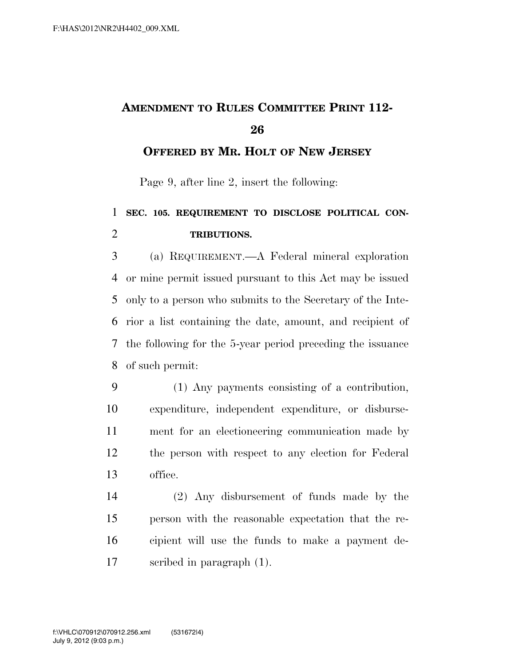## **AMENDMENT TO RULES COMMITTEE PRINT 112-**

**OFFERED BY MR. HOLT OF NEW JERSEY**

Page 9, after line 2, insert the following:

## **SEC. 105. REQUIREMENT TO DISCLOSE POLITICAL CON-TRIBUTIONS.**

 (a) REQUIREMENT.—A Federal mineral exploration or mine permit issued pursuant to this Act may be issued only to a person who submits to the Secretary of the Inte- rior a list containing the date, amount, and recipient of the following for the 5-year period preceding the issuance of such permit:

 (1) Any payments consisting of a contribution, expenditure, independent expenditure, or disburse- ment for an electioneering communication made by the person with respect to any election for Federal office.

 (2) Any disbursement of funds made by the person with the reasonable expectation that the re- cipient will use the funds to make a payment de-scribed in paragraph (1).